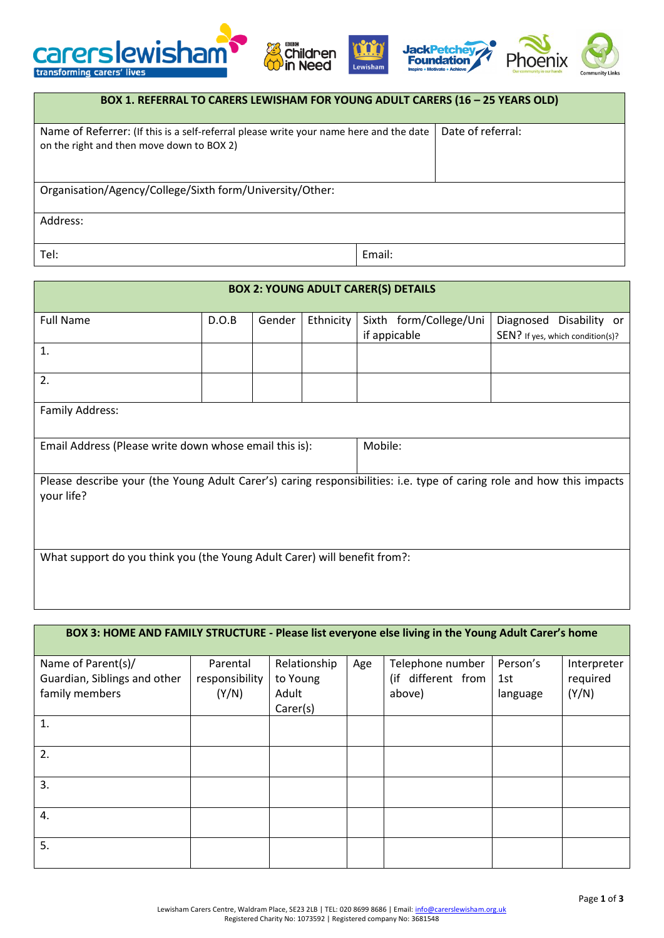





| BOX 1. REFERRAL TO CARERS LEWISHAM FOR YOUNG ADULT CARERS (16 - 25 YEARS OLD)                                                       |                   |  |  |  |  |
|-------------------------------------------------------------------------------------------------------------------------------------|-------------------|--|--|--|--|
| Name of Referrer: (If this is a self-referral please write your name here and the date<br>on the right and then move down to BOX 2) | Date of referral: |  |  |  |  |
| Organisation/Agency/College/Sixth form/University/Other:                                                                            |                   |  |  |  |  |
| Address:                                                                                                                            |                   |  |  |  |  |
| Tel:                                                                                                                                | Email:            |  |  |  |  |

| <b>BOX 2: YOUNG ADULT CARER(S) DETAILS</b>                                                                                          |       |        |           |                        |                                  |  |  |
|-------------------------------------------------------------------------------------------------------------------------------------|-------|--------|-----------|------------------------|----------------------------------|--|--|
| <b>Full Name</b>                                                                                                                    | D.O.B | Gender | Ethnicity | Sixth form/College/Uni | Diagnosed<br>Disability or       |  |  |
|                                                                                                                                     |       |        |           | if appicable           | SEN? If yes, which condition(s)? |  |  |
| 1.                                                                                                                                  |       |        |           |                        |                                  |  |  |
| 2.                                                                                                                                  |       |        |           |                        |                                  |  |  |
| Family Address:                                                                                                                     |       |        |           |                        |                                  |  |  |
| Email Address (Please write down whose email this is):                                                                              |       |        |           | Mobile:                |                                  |  |  |
| Please describe your (the Young Adult Carer's) caring responsibilities: i.e. type of caring role and how this impacts<br>your life? |       |        |           |                        |                                  |  |  |
| What support do you think you (the Young Adult Carer) will benefit from?:                                                           |       |        |           |                        |                                  |  |  |

| BOX 3: HOME AND FAMILY STRUCTURE - Please list everyone else living in the Young Adult Carer's home |                                     |                                               |     |                                                  |                             |                                  |  |
|-----------------------------------------------------------------------------------------------------|-------------------------------------|-----------------------------------------------|-----|--------------------------------------------------|-----------------------------|----------------------------------|--|
| Name of Parent(s)/<br>Guardian, Siblings and other<br>family members                                | Parental<br>responsibility<br>(Y/N) | Relationship<br>to Young<br>Adult<br>Carer(s) | Age | Telephone number<br>(if different from<br>above) | Person's<br>1st<br>language | Interpreter<br>required<br>(Y/N) |  |
| $\mathbf{1}$ .                                                                                      |                                     |                                               |     |                                                  |                             |                                  |  |
| 2.                                                                                                  |                                     |                                               |     |                                                  |                             |                                  |  |
| 3.                                                                                                  |                                     |                                               |     |                                                  |                             |                                  |  |
| 4.                                                                                                  |                                     |                                               |     |                                                  |                             |                                  |  |
| 5.                                                                                                  |                                     |                                               |     |                                                  |                             |                                  |  |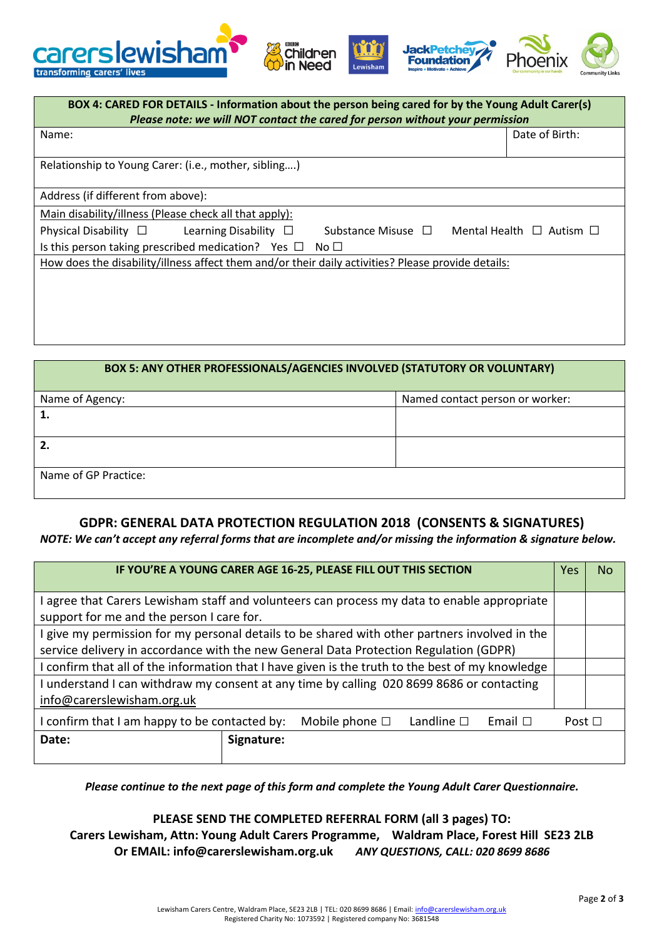



| BOX 4: CARED FOR DETAILS - Information about the person being cared for by the Young Adult Carer(s)<br>Please note: we will NOT contact the cared for person without your permission |                                    |  |  |  |
|--------------------------------------------------------------------------------------------------------------------------------------------------------------------------------------|------------------------------------|--|--|--|
| Name:                                                                                                                                                                                | Date of Birth:                     |  |  |  |
| Relationship to Young Carer: (i.e., mother, sibling)                                                                                                                                 |                                    |  |  |  |
| Address (if different from above):                                                                                                                                                   |                                    |  |  |  |
| Main disability/illness (Please check all that apply):                                                                                                                               |                                    |  |  |  |
| Physical Disability $\square$ Learning Disability $\square$<br>Substance Misuse $\Box$                                                                                               | Mental Health $\Box$ Autism $\Box$ |  |  |  |
| Is this person taking prescribed medication? Yes $\Box$ No $\Box$                                                                                                                    |                                    |  |  |  |
| How does the disability/illness affect them and/or their daily activities? Please provide details:                                                                                   |                                    |  |  |  |
|                                                                                                                                                                                      |                                    |  |  |  |
|                                                                                                                                                                                      |                                    |  |  |  |
|                                                                                                                                                                                      |                                    |  |  |  |

| BOX 5: ANY OTHER PROFESSIONALS/AGENCIES INVOLVED (STATUTORY OR VOLUNTARY) |                                 |  |  |  |  |
|---------------------------------------------------------------------------|---------------------------------|--|--|--|--|
| Name of Agency:                                                           | Named contact person or worker: |  |  |  |  |
|                                                                           |                                 |  |  |  |  |
|                                                                           |                                 |  |  |  |  |
|                                                                           |                                 |  |  |  |  |
|                                                                           |                                 |  |  |  |  |
| Name of GP Practice:                                                      |                                 |  |  |  |  |
|                                                                           |                                 |  |  |  |  |

## **GDPR: GENERAL DATA PROTECTION REGULATION 2018 (CONSENTS & SIGNATURES)**

*NOTE: We can't accept any referral forms that are incomplete and/or missing the information & signature below.*

| IF YOU'RE A YOUNG CARER AGE 16-25, PLEASE FILL OUT THIS SECTION                                                                                                                        |            |  |  |  | <b>Yes</b>  | No. |
|----------------------------------------------------------------------------------------------------------------------------------------------------------------------------------------|------------|--|--|--|-------------|-----|
| agree that Carers Lewisham staff and volunteers can process my data to enable appropriate<br>support for me and the person I care for.                                                 |            |  |  |  |             |     |
| I give my permission for my personal details to be shared with other partners involved in the<br>service delivery in accordance with the new General Data Protection Regulation (GDPR) |            |  |  |  |             |     |
| I confirm that all of the information that I have given is the truth to the best of my knowledge                                                                                       |            |  |  |  |             |     |
| I understand I can withdraw my consent at any time by calling 020 8699 8686 or contacting<br>info@carerslewisham.org.uk                                                                |            |  |  |  |             |     |
| I confirm that I am happy to be contacted by:<br>Landline $\square$<br>Mobile phone $\square$<br>Email $\Box$                                                                          |            |  |  |  | Post $\Box$ |     |
| Date:                                                                                                                                                                                  | Signature: |  |  |  |             |     |

*Please continue to the next page of this form and complete the Young Adult Carer Questionnaire.*

## **PLEASE SEND THE COMPLETED REFERRAL FORM (all 3 pages) TO:**

**Carers Lewisham, Attn: Young Adult Carers Programme, Waldram Place, Forest Hill SE23 2LB Or EMAIL: info@carerslewisham.org.uk** *ANY QUESTIONS, CALL: 020 8699 8686*